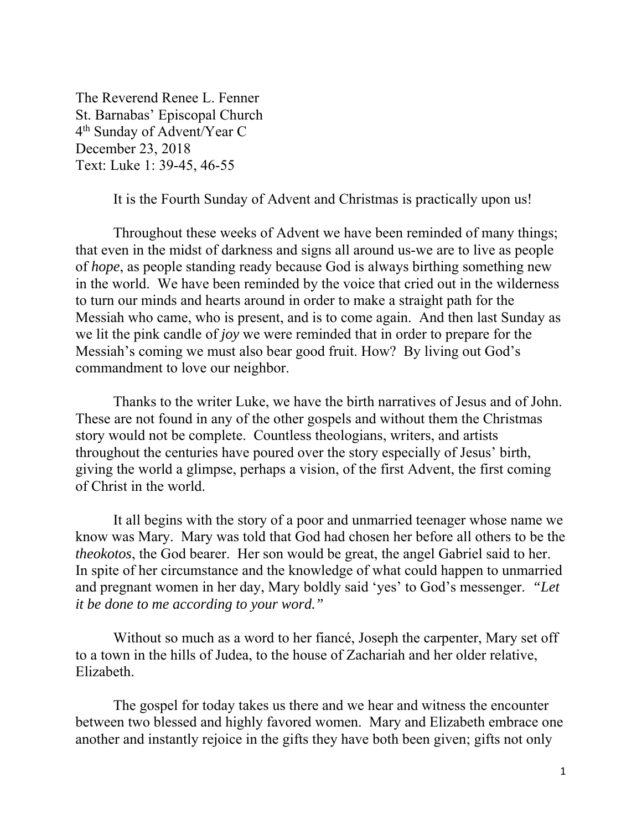The Reverend Renee L. Fenner St. Barnabas' Episcopal Church 4th Sunday of Advent/Year C December 23, 2018 Text: Luke 1: 39-45, 46-55

It is the Fourth Sunday of Advent and Christmas is practically upon us!

Throughout these weeks of Advent we have been reminded of many things; that even in the midst of darkness and signs all around us-we are to live as people of *hope*, as people standing ready because God is always birthing something new in the world. We have been reminded by the voice that cried out in the wilderness to turn our minds and hearts around in order to make a straight path for the Messiah who came, who is present, and is to come again. And then last Sunday as we lit the pink candle of *joy* we were reminded that in order to prepare for the Messiah's coming we must also bear good fruit. How? By living out God's commandment to love our neighbor.

Thanks to the writer Luke, we have the birth narratives of Jesus and of John. These are not found in any of the other gospels and without them the Christmas story would not be complete. Countless theologians, writers, and artists throughout the centuries have poured over the story especially of Jesus' birth, giving the world a glimpse, perhaps a vision, of the first Advent, the first coming of Christ in the world.

It all begins with the story of a poor and unmarried teenager whose name we know was Mary. Mary was told that God had chosen her before all others to be the *theokotos*, the God bearer. Her son would be great, the angel Gabriel said to her. In spite of her circumstance and the knowledge of what could happen to unmarried and pregnant women in her day, Mary boldly said 'yes' to God's messenger. *"Let it be done to me according to your word."* 

Without so much as a word to her fiancé, Joseph the carpenter, Mary set off to a town in the hills of Judea, to the house of Zachariah and her older relative, Elizabeth.

The gospel for today takes us there and we hear and witness the encounter between two blessed and highly favored women. Mary and Elizabeth embrace one another and instantly rejoice in the gifts they have both been given; gifts not only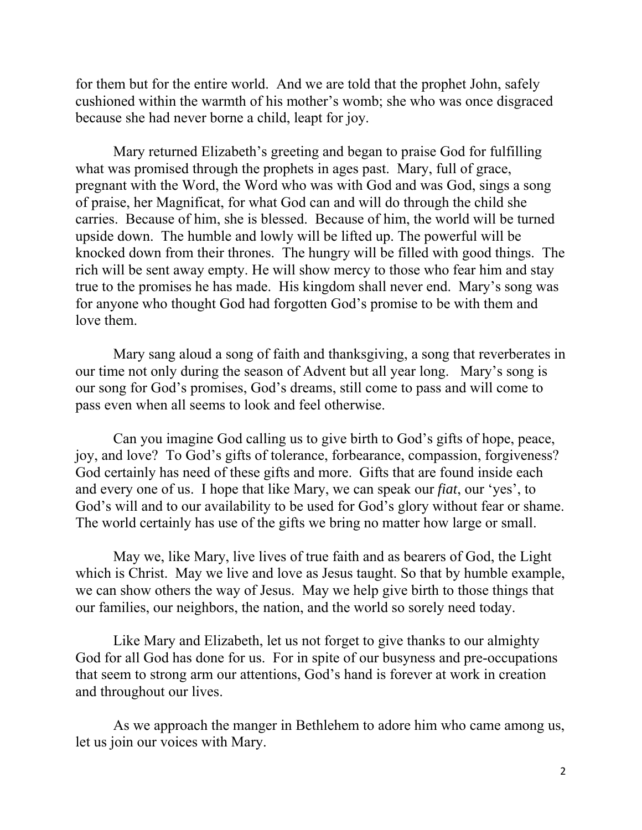for them but for the entire world. And we are told that the prophet John, safely cushioned within the warmth of his mother's womb; she who was once disgraced because she had never borne a child, leapt for joy.

Mary returned Elizabeth's greeting and began to praise God for fulfilling what was promised through the prophets in ages past. Mary, full of grace, pregnant with the Word, the Word who was with God and was God, sings a song of praise, her Magnificat, for what God can and will do through the child she carries. Because of him, she is blessed. Because of him, the world will be turned upside down. The humble and lowly will be lifted up. The powerful will be knocked down from their thrones. The hungry will be filled with good things. The rich will be sent away empty. He will show mercy to those who fear him and stay true to the promises he has made. His kingdom shall never end. Mary's song was for anyone who thought God had forgotten God's promise to be with them and love them.

Mary sang aloud a song of faith and thanksgiving, a song that reverberates in our time not only during the season of Advent but all year long. Mary's song is our song for God's promises, God's dreams, still come to pass and will come to pass even when all seems to look and feel otherwise.

Can you imagine God calling us to give birth to God's gifts of hope, peace, joy, and love? To God's gifts of tolerance, forbearance, compassion, forgiveness? God certainly has need of these gifts and more. Gifts that are found inside each and every one of us. I hope that like Mary, we can speak our *fiat*, our 'yes', to God's will and to our availability to be used for God's glory without fear or shame. The world certainly has use of the gifts we bring no matter how large or small.

May we, like Mary, live lives of true faith and as bearers of God, the Light which is Christ. May we live and love as Jesus taught. So that by humble example, we can show others the way of Jesus. May we help give birth to those things that our families, our neighbors, the nation, and the world so sorely need today.

Like Mary and Elizabeth, let us not forget to give thanks to our almighty God for all God has done for us. For in spite of our busyness and pre-occupations that seem to strong arm our attentions, God's hand is forever at work in creation and throughout our lives.

As we approach the manger in Bethlehem to adore him who came among us, let us join our voices with Mary.